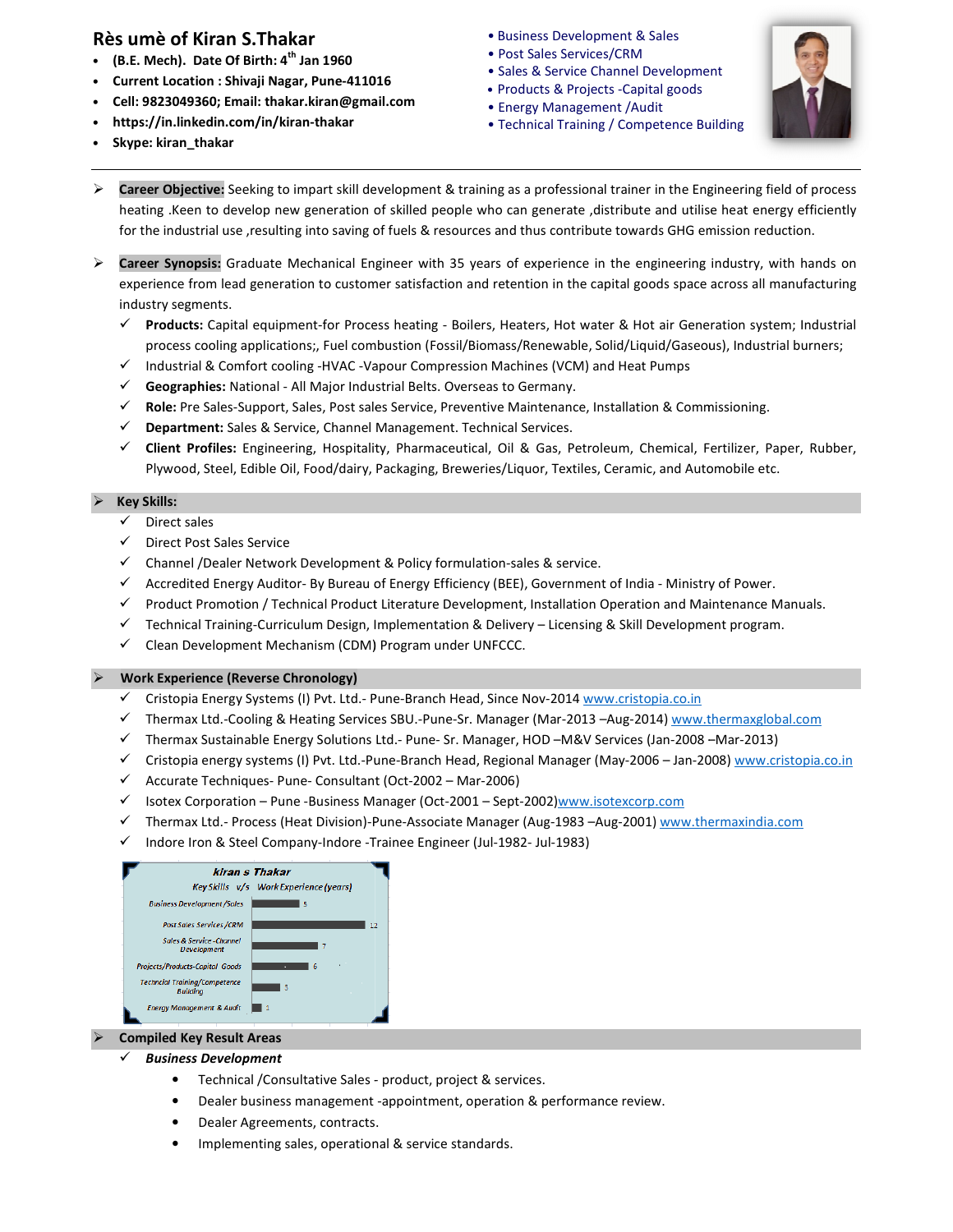# Rès umè of Kiran S.Thakar

- (B.E. Mech). Date Of Birth:  $4<sup>th</sup>$  Jan 1960
- Current Location : Shivaji Nagar, Pune-4110 016
- Cell: 9823049360; Email: thakar.kiran@gmail.com thakar.kiran@gmail.com
- https://in.linkedin.com/in/kiran-thakar
- Skype: kiran\_thakar
- 
- Post Sales Services/CRM
- Sales & Service Channel Development
- Products & Projects -Capital goods • Energy Management /Audit
- Technical Training / Competence Building Competence Building



- $\triangleright$  Career Objective: Seeking to impart skill development & training as a professional trainer in the Engineering field of process heating .Keen to develop new generation of skilled people who can generate ,distribute and utilise heat energy efficiently for the industrial use ,resulting into saving of fuels & resources and thus contribute towards GHG emission reduction. **•** Business Development & Sales<br>
• Post Sales Services/CRM<br>
• Fost Sales Services/CRM<br>
• Seles & Service CRame<br>
• Frequence CRame<br>
• Frequence CRame<br>
• Frequence CRAMe and Development *F* and<br>
• Trechnical Training *J* C
- $\triangleright$  Career Synopsis: Graduate Mechanical Engineer with 35 years of experience in the engineering industry, with hands on experience from lead generation to customer satisfaction and retention in the capital goods space across all manufacturing industry segments.
	- $\checkmark$ Products: Capital equipment-for Process heating - Boilers, Heaters, Hot water & Hot air Generation system; Industrial process cooling applications;, Fuel combustion (Fossil/Biomass/Renewable, Solid/Liquid/Gaseous), Industrial burners;
	- Industrial & Comfort cooling -HVAC -Vapour Compression Machines (VCM) and Heat Pumps
	- $\checkmark$ Industrial & Comfort cooling -HVAC -Vapour Compression Machines (VCI<br>Geographies: National - All Major Industrial Belts. Overseas to Germany.
	- Role: Pre Sales-Support, Sales, Post sales Service, Preventive Maintenance, Installation & Commissioning.
	- √ Department: Sales & Service, Channel Management. Technical Services.
	- Process cooling applications;, Fuel combustion (Fossil/Biomass/Renewable, Solid/Liquid/Gaseous), Industrial burners;<br>
	→ Industrial & Comfort cooling -HVAC -Vapour Compression Machines (VCM) and Heat Pumps<br>
	→ Geographies: Plywood, Steel, Edible Oil, Food/dairy, Packaging, Breweries/Liquor, Textiles, Ceramic, and Automobile etc.

### Key Skills:

- $\checkmark$  Direct sales
- Direct Post Sales Service
- Channel /Dealer Network Development & Policy formulation formulation-sales & service.
- Accredited Energy Auditor- By Bureau of Energy Efficiency (BEE), Government of India Efficiency Ministry of Power.
- Product Promotion / Technical Product Literature Technical Literature Development, Installation Operation and Maintenance Operation and Manuals.
- Technical Training-Curriculum Design, Implementation & Delivery Curriculum Licensing & Skill Development program.
- Clean Development Mechanism (CDM) Program under UNFCCC.

### Work Experience (Reverse Chronology)

- √ Cristopia Energy Systems (I) Pvt. Ltd.- Pune-Branch Head, Since Nov-2014 www.cristopia.co.in
- √ Thermax Ltd.-Cooling & Heating Services SBU.-Pune-Sr. Manager (Mar-2013 -Aug-2014) www.thermaxglobal.com
- √ Thermax Sustainable Energy Solutions Ltd.- Pune- Sr. Manager, HOD -M&V Services (Jan-2008 -& Skill Development program<br><u>w.cristopia.co.in</u><br>Aug-2014) <u>www.thermaxglob</u><br>rrvices (Jan-2008 –Mar-2013)
- √ Cristopia energy systems (I) Pvt. Ltd.-Pune-Branch Head, Regional Manager (May-2006 Jan-2008) www.cristopia.co.in
- Accurate Techniques- Pune- Consultant (Oct-2002 Mar-2006)
- √ Isotex Corporation Pune -Business Manager (Oct-2001 Sept-2002)www.isotexcorp.com
- Thermax Ltd.- Process (Heat Division)-Pune Pune-Associate Manager (Aug-1983 –Aug-2001) www.thermaxindia.com
- Indore Iron & Steel Company-Indore -Trainee Engineer Trainee Engineer (Jul-1982- Jul-1983)

| kiran s Thakar                                               |
|--------------------------------------------------------------|
| Key Skills v/s Work Experience (years)                       |
| <b>Business Development /Sales</b><br>۹                      |
| <b>Post Sales Services /CRM</b><br>12                        |
| Sales & Service-Channel<br><b>Development</b>                |
| <b>Projects/Products-Capital Goods</b><br>6                  |
| <b>Techncial Trainina/Competence</b><br>з<br><b>Building</b> |
| <b>Eneray Management &amp; Audit</b>                         |

### Compiled Key Result Areas

 $\checkmark$ 

- Business Development
	- **•** Technical / Consultative Sales product, project & services.
	- Dealer business management -appointment, operation & performance review.
	- Dealer Agreements, contracts.
	- **•** Dealer Agreements, contracts.<br>• Implementing sales, operational & service standards.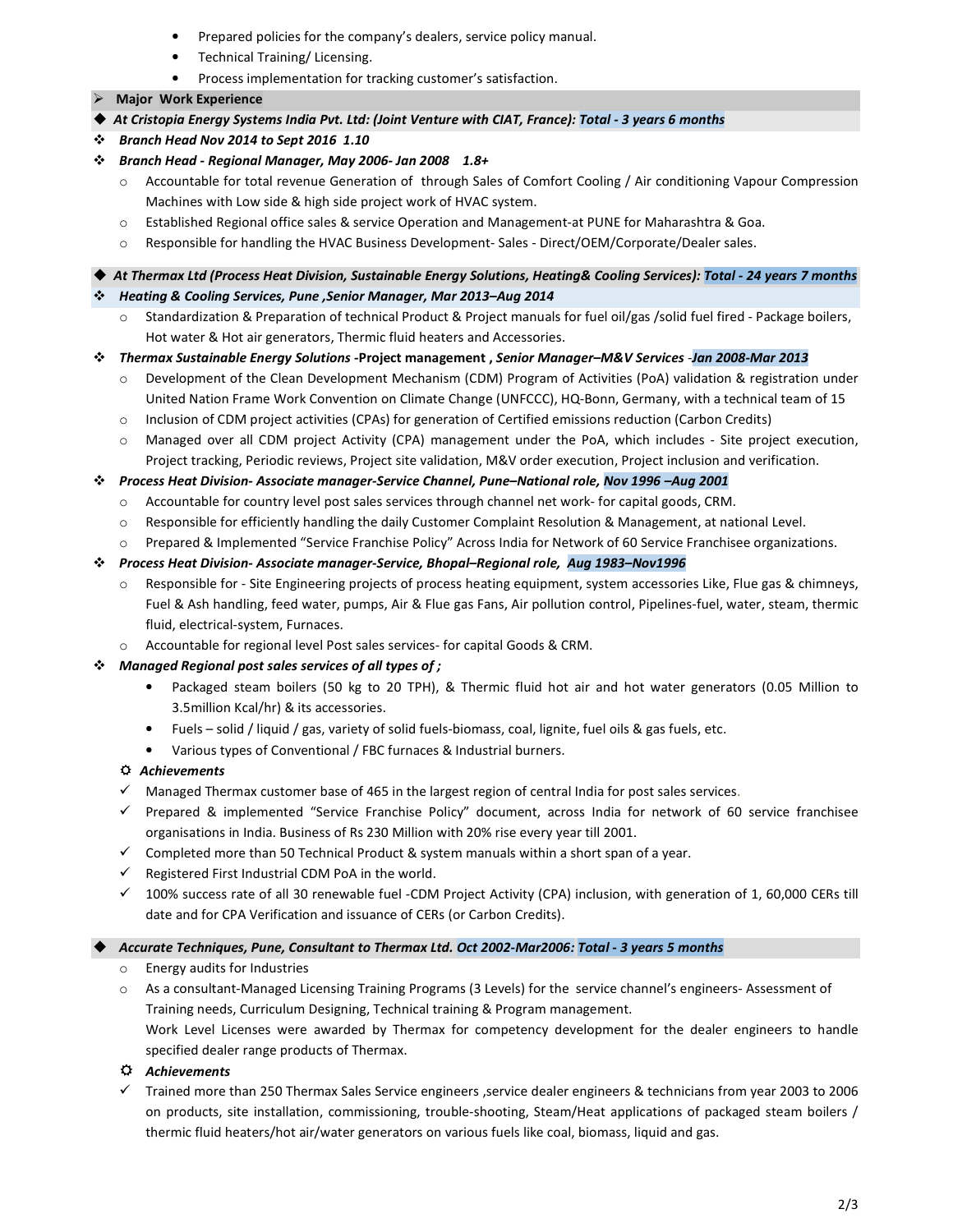- Prepared policies for the company's dealers, service policy manual.
- Technical Training/ Licensing.
- Process implementation for tracking customer's satisfaction.

## Major Work Experience

- At Cristopia Energy Systems India Pvt. Ltd: (Joint Venture with CIAT, France): Total 3 years 6 months
- Branch Head Nov 2014 to Sept 2016 1.10
- Branch Head Regional Manager, May 2006- Jan 2008 1.8+
	- o Accountable for total revenue Generation of through Sales of Comfort Cooling / Air conditioning Vapour Compression Machines with Low side & high side project work of HVAC system.
	- o Established Regional office sales & service Operation and Management-at PUNE for Maharashtra & Goa.
	- o Responsible for handling the HVAC Business Development- Sales Direct/OEM/Corporate/Dealer sales.

At Thermax Ltd (Process Heat Division, Sustainable Energy Solutions, Heating& Cooling Services): Total - 24 years 7 months

- Heating & Cooling Services, Pune ,Senior Manager, Mar 2013–Aug 2014
	- o Standardization & Preparation of technical Product & Project manuals for fuel oil/gas /solid fuel fired Package boilers, Hot water & Hot air generators, Thermic fluid heaters and Accessories.
- Thermax Sustainable Energy Solutions -Project management , Senior Manager–M&V Services -Jan 2008-Mar 2013
	- $\circ$  Development of the Clean Development Mechanism (CDM) Program of Activities (PoA) validation & registration under United Nation Frame Work Convention on Climate Change (UNFCCC), HQ-Bonn, Germany, with a technical team of 15
	- o Inclusion of CDM project activities (CPAs) for generation of Certified emissions reduction (Carbon Credits)
	- o Managed over all CDM project Activity (CPA) management under the PoA, which includes Site project execution, Project tracking, Periodic reviews, Project site validation, M&V order execution, Project inclusion and verification.
- Process Heat Division- Associate manager-Service Channel, Pune–National role, Nov 1996 –Aug 2001
	- o Accountable for country level post sales services through channel net work- for capital goods, CRM.
	- o Responsible for efficiently handling the daily Customer Complaint Resolution & Management, at national Level.
	- o Prepared & Implemented "Service Franchise Policy" Across India for Network of 60 Service Franchisee organizations.

## Process Heat Division- Associate manager-Service, Bhopal–Regional role, Aug 1983–Nov1996

- o Responsible for Site Engineering projects of process heating equipment, system accessories Like, Flue gas & chimneys, Fuel & Ash handling, feed water, pumps, Air & Flue gas Fans, Air pollution control, Pipelines-fuel, water, steam, thermic fluid, electrical-system, Furnaces.
- o Accountable for regional level Post sales services- for capital Goods & CRM.

# $\mathbf{\hat{P}}$  Managed Regional post sales services of all types of ;

- Packaged steam boilers (50 kg to 20 TPH), & Thermic fluid hot air and hot water generators (0.05 Million to 3.5million Kcal/hr) & its accessories.
- Fuels solid / liquid / gas, variety of solid fuels-biomass, coal, lignite, fuel oils & gas fuels, etc.
- Various types of Conventional / FBC furnaces & Industrial burners.

# Achievements

- Managed Thermax customer base of 465 in the largest region of central India for post sales services.
- Prepared & implemented "Service Franchise Policy" document, across India for network of 60 service franchisee organisations in India. Business of Rs 230 Million with 20% rise every year till 2001.
- $\checkmark$  Completed more than 50 Technical Product & system manuals within a short span of a year.
- Registered First Industrial CDM PoA in the world.
- 100% success rate of all 30 renewable fuel -CDM Project Activity (CPA) inclusion, with generation of 1, 60,000 CERs till date and for CPA Verification and issuance of CERs (or Carbon Credits).

## Accurate Techniques, Pune, Consultant to Thermax Ltd. Oct 2002-Mar2006: Total - 3 years 5 months

- o Energy audits for Industries
- o As a consultant-Managed Licensing Training Programs (3 Levels) for the service channel's engineers- Assessment of Training needs, Curriculum Designing, Technical training & Program management. Work Level Licenses were awarded by Thermax for competency development for the dealer engineers to handle

specified dealer range products of Thermax.

 $\Leftrightarrow$  Achievements

- Trained more than 250 Thermax Sales Service engineers ,service dealer engineers & technicians from year 2003 to 2006 on products, site installation, commissioning, trouble-shooting, Steam/Heat applications of packaged steam boilers / thermic fluid heaters/hot air/water generators on various fuels like coal, biomass, liquid and gas.